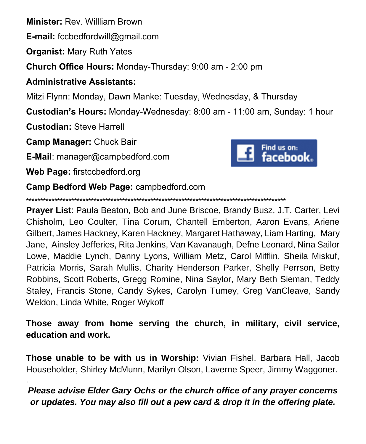**Minister:** Rev. Willliam Brown

**E-mail:** fccbedfordwill@gmail.com

**Organist:** Mary Ruth Yates

**Church Office Hours:** Monday-Thursday: 9:00 am - 2:00 pm

# **Administrative Assistants:**

Mitzi Flynn: Monday, Dawn Manke: Tuesday, Wednesday, & Thursday

**Custodian's Hours:** Monday-Wednesday: 8:00 am - 11:00 am, Sunday: 1 hour

**Custodian:** Steve Harrell

**Camp Manager:** Chuck Bair

**E-Mail**: manager@campbedford.com

**Web Page:** firstccbedford.org

.



**Camp Bedford Web Page:** campbedford.com

\*\*\*\*\*\*\*\*\*\*\*\*\*\*\*\*\*\*\*\*\*\*\*\*\*\*\*\*\*\*\*\*\*\*\*\*\*\*\*\*\*\*\*\*\*\*\*\*\*\*\*\*\*\*\*\*\*\*\*\*\*\*\*\*\*\*\*\*\*\*\*\*\*\*\*\*\*\*\*\*\*\*\*\*\*\*\*\*\*\*\*\*

**Prayer List**: Paula Beaton, Bob and June Briscoe, Brandy Busz, J.T. Carter, Levi Chisholm, Leo Coulter, Tina Corum, Chantell Emberton, Aaron Evans, Ariene Gilbert, James Hackney, Karen Hackney, Margaret Hathaway, Liam Harting, Mary Jane, Ainsley Jefferies, Rita Jenkins, Van Kavanaugh, Defne Leonard, Nina Sailor Lowe, Maddie Lynch, Danny Lyons, William Metz, Carol Mifflin, Sheila Miskuf, Patricia Morris, Sarah Mullis, Charity Henderson Parker, Shelly Perrson, Betty Robbins, Scott Roberts, Gregg Romine, Nina Saylor, Mary Beth Sieman, Teddy Staley, Francis Stone, Candy Sykes, Carolyn Tumey, Greg VanCleave, Sandy Weldon, Linda White, Roger Wykoff

**Those away from home serving the church, in military, civil service, education and work.**

**Those unable to be with us in Worship:** Vivian Fishel, Barbara Hall, Jacob Householder, Shirley McMunn, Marilyn Olson, Laverne Speer, Jimmy Waggoner.

# *Please advise Elder Gary Ochs or the church office of any prayer concerns or updates. You may also fill out a pew card & drop it in the offering plate.*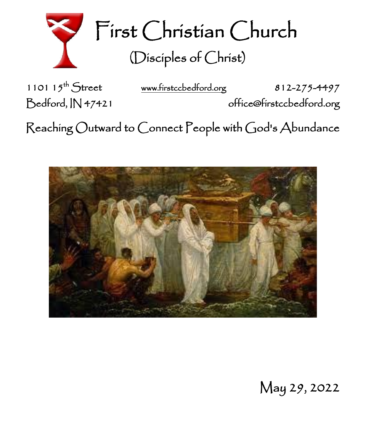

First Christian Church (Disciples of Christ)

1101  $15^{th}$  Street

[www.firstccbedford.org](http://www.firstccbedford.org/) 812-275-4497 Bedford, IN 47421 office@firstccbedford.org

Reaching Outward to Connect People with God's Abundance



May 29, 2022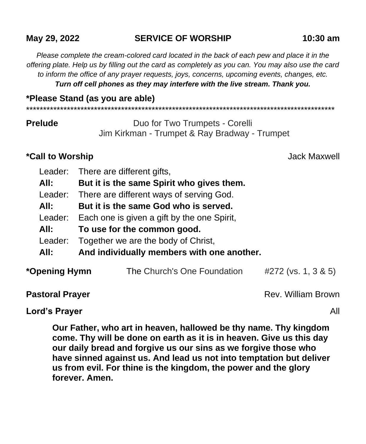## **May 29, 2022 SERVICE OF WORSHIP 10:30 am**

*Please complete the cream-colored card located in the back of each pew and place it in the offering plate. Help us by filling out the card as completely as you can. You may also use the card to inform the office of any prayer requests, joys, concerns, upcoming events, changes, etc. Turn off cell phones as they may interfere with the live stream. Thank you.*

**\*Please Stand (as you are able)**

\*\*\*\*\*\*\*\*\*\*\*\*\*\*\*\*\*\*\*\*\*\*\*\*\*\*\*\*\*\*\*\*\*\*\*\*\*\*\*\*\*\*\*\*\*\*\*\*\*\*\*\*\*\*\*\*\*\*\*\*\*\*\*\*\*\*\*\*\*\*\*\*\*\*\*\*\*\*\*\*\*\*\*\*\*\*\*\*\*\*\*

**Prelude Duo for Two Trumpets - Corelli** Jim Kirkman - Trumpet & Ray Bradway - Trumpet

## **\*Call to Worship** Jack Maxwell

|               | Leader: There are different gifts,          |                             |                     |  |
|---------------|---------------------------------------------|-----------------------------|---------------------|--|
| All:          | But it is the same Spirit who gives them.   |                             |                     |  |
| Leader:       | There are different ways of serving God.    |                             |                     |  |
| All:          | But it is the same God who is served.       |                             |                     |  |
| Leader:       | Each one is given a gift by the one Spirit, |                             |                     |  |
| All:          | To use for the common good.                 |                             |                     |  |
| Leader:       | Together we are the body of Christ,         |                             |                     |  |
| All:          | And individually members with one another.  |                             |                     |  |
| *Opening Hymn |                                             | The Church's One Foundation | #272 (vs. 1, 3 & 5) |  |
|               |                                             |                             |                     |  |

**Pastoral Prayer Pastoral Prayer Rev. William Brown** 

**Lord's Prayer** All

**Our Father, who art in heaven, hallowed be thy name. Thy kingdom come. Thy will be done on earth as it is in heaven. Give us this day our daily bread and forgive us our sins as we forgive those who have sinned against us. And lead us not into temptation but deliver us from evil. For thine is the kingdom, the power and the glory forever. Amen.**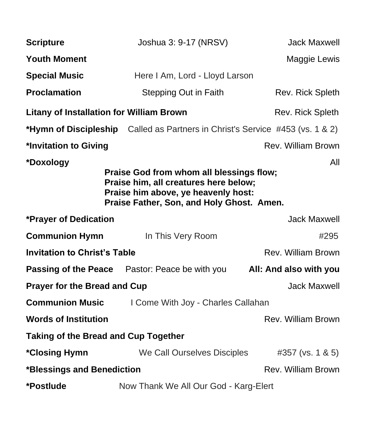| <b>Scripture</b>                                                                                                                                                                          | Joshua 3: 9-17 (NRSV)                                                                | <b>Jack Maxwell</b>       |  |  |  |
|-------------------------------------------------------------------------------------------------------------------------------------------------------------------------------------------|--------------------------------------------------------------------------------------|---------------------------|--|--|--|
| <b>Youth Moment</b>                                                                                                                                                                       |                                                                                      | Maggie Lewis              |  |  |  |
| <b>Special Music</b>                                                                                                                                                                      | Here I Am, Lord - Lloyd Larson                                                       |                           |  |  |  |
| <b>Proclamation</b>                                                                                                                                                                       | Stepping Out in Faith                                                                | Rev. Rick Spleth          |  |  |  |
| <b>Litany of Installation for William Brown</b>                                                                                                                                           |                                                                                      | Rev. Rick Spleth          |  |  |  |
|                                                                                                                                                                                           | <b>*Hymn of Discipleship</b> Called as Partners in Christ's Service #453 (vs. 1 & 2) |                           |  |  |  |
| *Invitation to Giving                                                                                                                                                                     |                                                                                      | Rev. William Brown        |  |  |  |
| *Doxology<br>All<br>Praise God from whom all blessings flow;<br>Praise him, all creatures here below;<br>Praise him above, ye heavenly host:<br>Praise Father, Son, and Holy Ghost. Amen. |                                                                                      |                           |  |  |  |
| *Prayer of Dedication                                                                                                                                                                     |                                                                                      | <b>Jack Maxwell</b>       |  |  |  |
| <b>Communion Hymn</b>                                                                                                                                                                     | In This Very Room                                                                    | #295                      |  |  |  |
| <b>Invitation to Christ's Table</b>                                                                                                                                                       | Rev. William Brown                                                                   |                           |  |  |  |
|                                                                                                                                                                                           | <b>Passing of the Peace</b> Pastor: Peace be with you                                | All: And also with you    |  |  |  |
| <b>Prayer for the Bread and Cup</b>                                                                                                                                                       | <b>Jack Maxwell</b>                                                                  |                           |  |  |  |
| <b>Communion Music</b>                                                                                                                                                                    | I Come With Joy - Charles Callahan                                                   |                           |  |  |  |
| <b>Words of Institution</b>                                                                                                                                                               |                                                                                      | <b>Rev. William Brown</b> |  |  |  |
| <b>Taking of the Bread and Cup Together</b>                                                                                                                                               |                                                                                      |                           |  |  |  |
| *Closing Hymn                                                                                                                                                                             | We Call Ourselves Disciples                                                          | #357 (vs. 1 & 5)          |  |  |  |
| *Blessings and Benediction                                                                                                                                                                |                                                                                      | Rev. William Brown        |  |  |  |
| *Postlude                                                                                                                                                                                 | Now Thank We All Our God - Karg-Elert                                                |                           |  |  |  |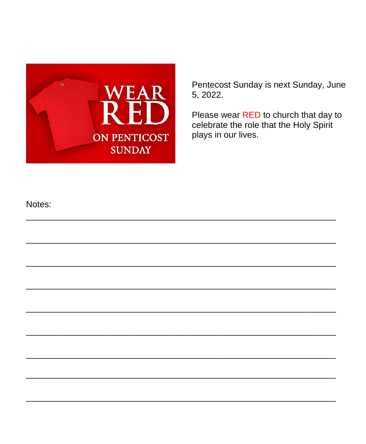

Pentecost Sunday is next Sunday, June 5, 2022.

Please wear RED to church that day to celebrate the role that the Holy Spirit plays in our lives.

#### Notes: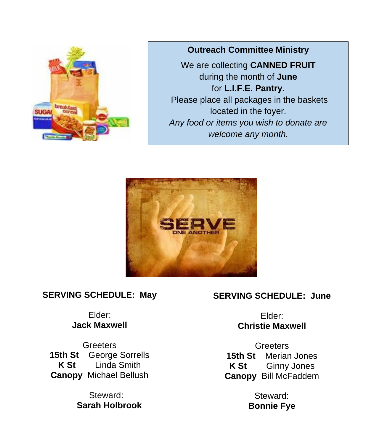

**Outreach Committee Ministry**

We are collecting **CANNED FRUIT** during the month of **June** for **L.I.F.E. Pantry**. Please place all packages in the baskets located in the foyer. *Any food or items you wish to donate are welcome any month.*



## **SERVING SCHEDULE: May**

## Elder: **Jack Maxwell**

**Greeters 15th St** George Sorrells **K St** Linda Smith **Canopy** Michael Bellush

> Steward: **Sarah Holbrook**

## **SERVING SCHEDULE: June**

Elder: **Christie Maxwell**

**Greeters 15th St** Merian Jones **K St** Ginny Jones **Canopy** Bill McFaddem

> Steward: **Bonnie Fye**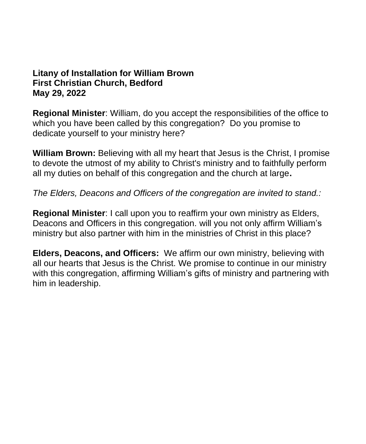#### **Litany of Installation for William Brown First Christian Church, Bedford May 29, 2022**

**Regional Minister**: William, do you accept the responsibilities of the office to which you have been called by this congregation? Do you promise to dedicate yourself to your ministry here?

**William Brown:** Believing with all my heart that Jesus is the Christ, I promise to devote the utmost of my ability to Christ's ministry and to faithfully perform all my duties on behalf of this congregation and the church at large**.**

*The Elders, Deacons and Officers of the congregation are invited to stand.:*

**Regional Minister**: I call upon you to reaffirm your own ministry as Elders, Deacons and Officers in this congregation. will you not only affirm William's ministry but also partner with him in the ministries of Christ in this place?

**Elders, Deacons, and Officers:** We affirm our own ministry, believing with all our hearts that Jesus is the Christ. We promise to continue in our ministry with this congregation, affirming William's gifts of ministry and partnering with him in leadership.